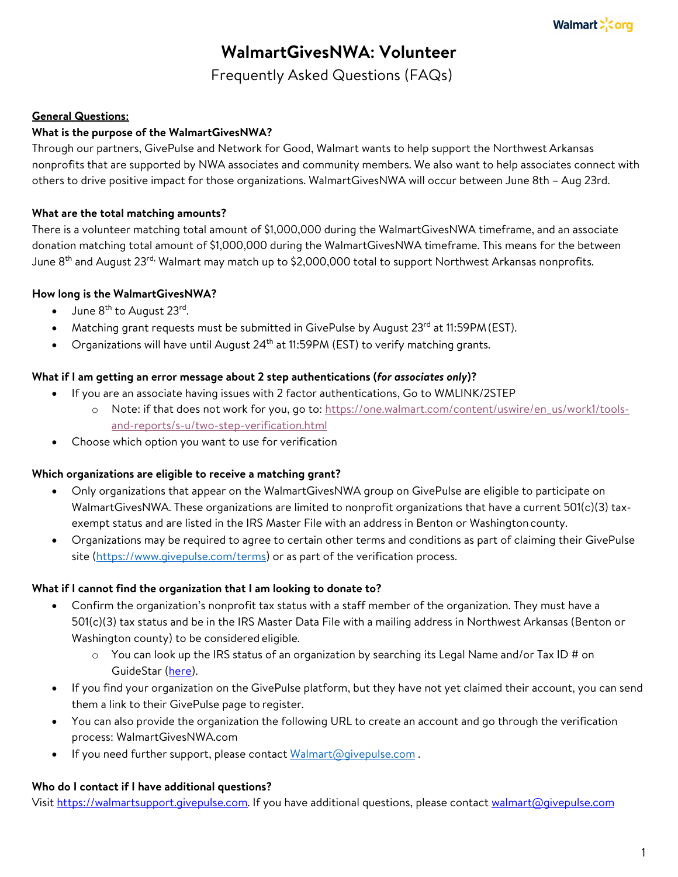# **WalmartGivesNWA: Volunteer**

Frequently Asked Questions (FAQs)

## **General Questions:**

## **What is the purpose of the WalmartGivesNWA?**

Through our partners, GivePulse and Network for Good, Walmart wants to help support the Northwest Arkansas nonprofits that are supported by NWA associates and community members. We also want to help associates connect with others to drive positive impact for those organizations. WalmartGivesNWA will occur between June 8th – Aug 23rd.

## **What are the total matching amounts?**

There is a volunteer matching total amount of \$1,000,000 during the WalmartGivesNWA timeframe, and an associate donation matching total amount of \$1,000,000 during the WalmartGivesNWA timeframe. This means for the between June 8<sup>th</sup> and August 23<sup>rd,</sup> Walmart may match up to \$2,000,000 total to support Northwest Arkansas nonprofits.

## **How long is the WalmartGivesNWA?**

- $\bullet$  June  $8^{\text{th}}$  to August 23rd.
- Matching grant requests must be submitted in GivePulse by August  $23<sup>rd</sup>$  at 11:59PM (EST).
- Organizations will have until August  $24<sup>th</sup>$  at 11:59PM (EST) to verify matching grants.

## **What if I am getting an error message about 2 step authentications (***for associates only***)?**

- If you are an associate having issues with 2 factor authentications, Go to WMLINK/2STEP
	- o Note: if that does not work for you, go to: https://one.walmart.com/content/uswire/en\_us/work1/toolsand-reports/s-u/two-step-verification.html
- Choose which option you want to use for verification

## **Which organizations are eligible to receive a matching grant?**

- Only organizations that appear on the WalmartGivesNWA group on GivePulse are eligible to participate on WalmartGivesNWA. These organizations are limited to nonprofit organizations that have a current 501(c)(3) taxexempt status and are listed in the IRS Master File with an address in Benton or Washingtoncounty.
- Organizations may be required to agree to certain other terms and conditions as part of claiming their GivePulse site (https://www.givepulse.com/terms) or as part of the verification process.

## **What if I cannot find the organization that I am looking to donate to?**

- Confirm the organization's nonprofit tax status with a staff member of the organization. They must have a 501(c)(3) tax status and be in the IRS Master Data File with a mailing address in Northwest Arkansas (Benton or Washington county) to be considered eligible.
	- $\circ$  You can look up the IRS status of an organization by searching its Legal Name and/or Tax ID # on GuideStar (here).
- If you find your organization on the GivePulse platform, but they have not yet claimed their account, you can send them a link to their GivePulse page to register.
- You can also provide the organization the following URL to create an account and go through the verification process: WalmartGivesNWA.com
- If you need further support, please contact Walmart@givepulse.com.

## **Who do I contact if I have additional questions?**

Visit https://walmartsupport.givepulse.com. If you have additional questions, please contact walmart@givepulse.com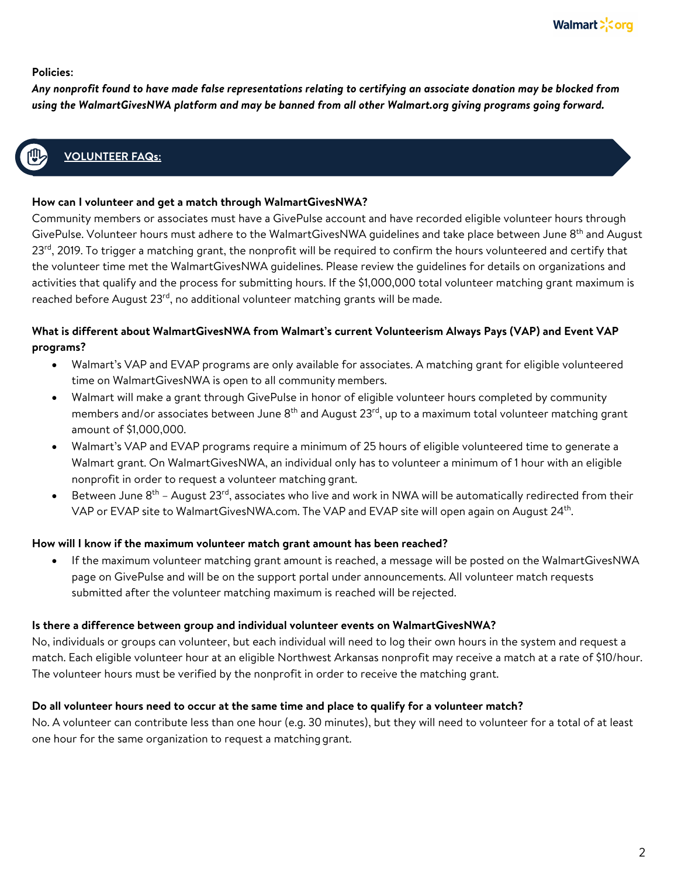## **Policies:**

*Any nonprofit found to have made false representations relating to certifying an associate donation may be blocked from using the WalmartGivesNWA platform and may be banned from all other Walmart.org giving programs going forward.*

# **How can I participate in the volunt EER FAQs:**

#### **How can I volunteer and get a match through WalmartGivesNWA?**

Community members or associates must have a GivePulse account and have recorded eligible volunteer hours through GivePulse. Volunteer hours must adhere to the WalmartGivesNWA guidelines and take place between June 8<sup>th</sup> and August 23<sup>rd</sup>, 2019. To trigger a matching grant, the nonprofit will be required to confirm the hours volunteered and certify that the volunteer time met the WalmartGivesNWA guidelines. Please review the guidelines for details on organizations and activities that qualify and the process for submitting hours. If the \$1,000,000 total volunteer matching grant maximum is reached before August 23<sup>rd</sup>, no additional volunteer matching grants will be made.

## **What is different about WalmartGivesNWA from Walmart's current Volunteerism Always Pays (VAP) and Event VAP programs?**

- Walmart's VAP and EVAP programs are only available for associates. A matching grant for eligible volunteered time on WalmartGivesNWA is open to all community members.
- Walmart will make a grant through GivePulse in honor of eligible volunteer hours completed by community members and/or associates between June 8<sup>th</sup> and August 23<sup>rd</sup>, up to a maximum total volunteer matching grant amount of \$1,000,000.
- Walmart's VAP and EVAP programs require a minimum of 25 hours of eligible volunteered time to generate a Walmart grant. On WalmartGivesNWA, an individual only has to volunteer a minimum of 1 hour with an eligible nonprofit in order to request a volunteer matching grant.
- Between June  $8^{th}$  August 23<sup>rd</sup>, associates who live and work in NWA will be automatically redirected from their VAP or EVAP site to WalmartGivesNWA.com. The VAP and EVAP site will open again on August 24<sup>th</sup>.

## **How will I know if the maximum volunteer match grant amount has been reached?**

• If the maximum volunteer matching grant amount is reached, a message will be posted on the WalmartGivesNWA page on GivePulse and will be on the support portal under announcements. All volunteer match requests submitted after the volunteer matching maximum is reached will be rejected.

## **Is there a difference between group and individual volunteer events on WalmartGivesNWA?**

No, individuals or groups can volunteer, but each individual will need to log their own hours in the system and request a match. Each eligible volunteer hour at an eligible Northwest Arkansas nonprofit may receive a match at a rate of \$10/hour. The volunteer hours must be verified by the nonprofit in order to receive the matching grant.

## **Do all volunteer hours need to occur at the same time and place to qualify for a volunteer match?**

No. A volunteer can contribute less than one hour (e.g. 30 minutes), but they will need to volunteer for a total of at least one hour for the same organization to request a matchinggrant.